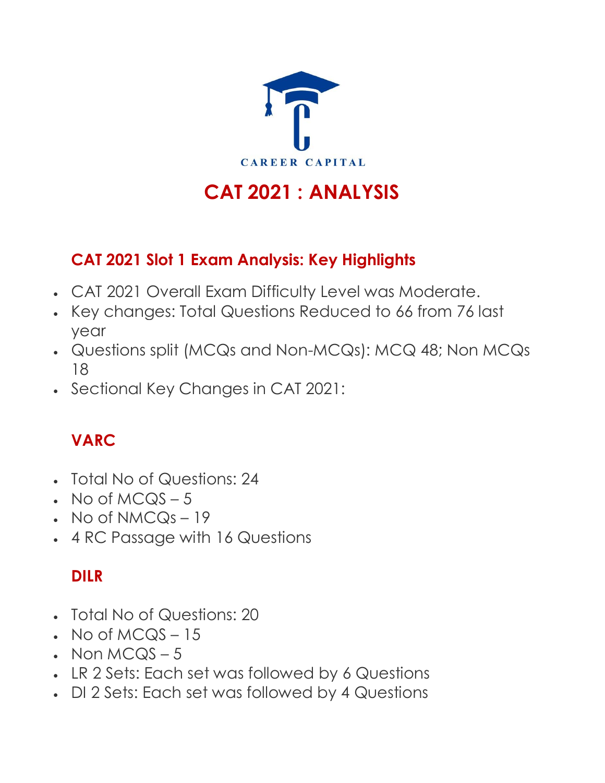

# **CAT 2021 : ANALYSIS**

#### **CAT 2021 Slot 1 Exam Analysis: Key Highlights**

- CAT 2021 Overall Exam Difficulty Level was Moderate.
- Key changes: Total Questions Reduced to 66 from 76 last year
- Questions split (MCQs and Non-MCQs): MCQ 48; Non MCQs 18
- Sectional Key Changes in CAT 2021:

## **VARC**

- Total No of Questions: 24
- $\cdot$  No of MCQS 5
- $\cdot$  No of NMCQs 19
- 4 RC Passage with 16 Questions

## **DILR**

- Total No of Questions: 20
- $N$  No of MCQS 15
- Non  $MCQS 5$
- LR 2 Sets: Each set was followed by 6 Questions
- DI 2 Sets: Each set was followed by 4 Questions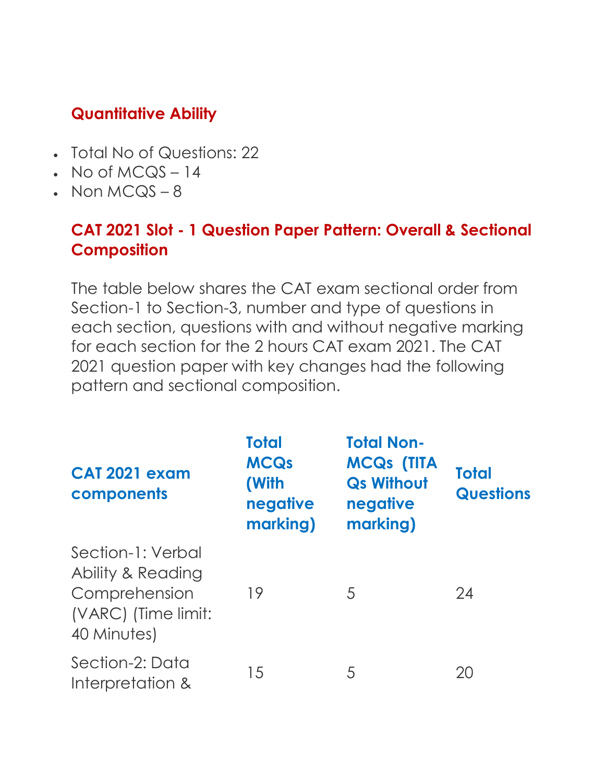#### **Quantitative Ability**

- Total No of Questions: 22
- $\cdot$  No of MCQS 14
- $\cdot$  Non MCQS 8

#### **CAT 2021 Slot - 1 Question Paper Pattern: Overall & Sectional Composition**

The table below shares the CAT exam sectional order from Section-1 to Section-3, number and type of questions in each section, questions with and without negative marking for each section for the 2 hours CAT exam 2021. The CAT 2021 question paper with key changes had the following pattern and sectional composition.

| CAT 2021 exam<br>components                                                                   | <b>Total</b><br><b>MCQs</b><br>(With<br>negative<br>marking) | <b>Total Non-</b><br><b>MCQs (TITA</b><br><b>Qs Without</b><br>negative<br>marking) | <b>Total</b><br><b>Questions</b> |
|-----------------------------------------------------------------------------------------------|--------------------------------------------------------------|-------------------------------------------------------------------------------------|----------------------------------|
| Section-1: Verbal<br>Ability & Reading<br>Comprehension<br>(VARC) (Time limit:<br>40 Minutes) | 19                                                           | 5                                                                                   | 24                               |
| Section-2: Data<br>Interpretation &                                                           | 15                                                           | 5                                                                                   | 20                               |